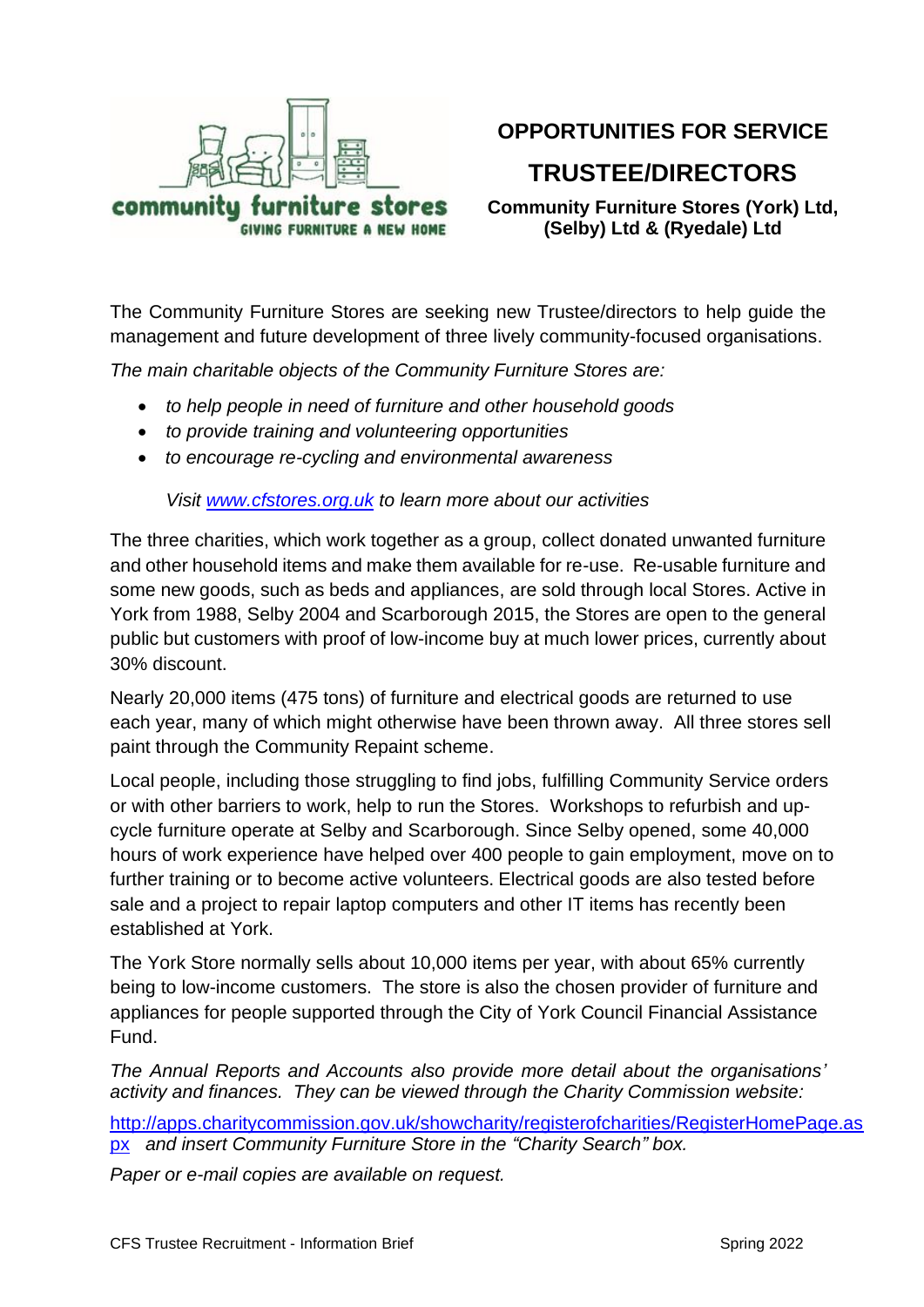

# **OPPORTUNITIES FOR SERVICE**

# **TRUSTEE/DIRECTORS**

**Community Furniture Stores (York) Ltd, (Selby) Ltd & (Ryedale) Ltd**

The Community Furniture Stores are seeking new Trustee/directors to help guide the management and future development of three lively community-focused organisations.

*The main charitable objects of the Community Furniture Stores are:* 

- *to help people in need of furniture and other household goods*
- *to provide training and volunteering opportunities*
- *to encourage re-cycling and environmental awareness*

*Visit [www.cfstores.org.uk](http://www.cfstores.org.uk/) to learn more about our activities*

The three charities, which work together as a group, collect donated unwanted furniture and other household items and make them available for re-use. Re-usable furniture and some new goods, such as beds and appliances, are sold through local Stores. Active in York from 1988, Selby 2004 and Scarborough 2015, the Stores are open to the general public but customers with proof of low-income buy at much lower prices, currently about 30% discount.

Nearly 20,000 items (475 tons) of furniture and electrical goods are returned to use each year, many of which might otherwise have been thrown away. All three stores sell paint through the Community Repaint scheme.

Local people, including those struggling to find jobs, fulfilling Community Service orders or with other barriers to work, help to run the Stores. Workshops to refurbish and upcycle furniture operate at Selby and Scarborough. Since Selby opened, some 40,000 hours of work experience have helped over 400 people to gain employment, move on to further training or to become active volunteers. Electrical goods are also tested before sale and a project to repair laptop computers and other IT items has recently been established at York.

The York Store normally sells about 10,000 items per year, with about 65% currently being to low-income customers. The store is also the chosen provider of furniture and appliances for people supported through the City of York Council Financial Assistance Fund.

*The Annual Reports and Accounts also provide more detail about the organisations' activity and finances. They can be viewed through the Charity Commission website:*

[http://apps.charitycommission.gov.uk/showcharity/registerofcharities/RegisterHomePage.as](http://apps.charitycommission.gov.uk/showcharity/registerofcharities/RegisterHomePage.aspx) [px](http://apps.charitycommission.gov.uk/showcharity/registerofcharities/RegisterHomePage.aspx) *and insert Community Furniture Store in the "Charity Search" box.*

*Paper or e-mail copies are available on request.*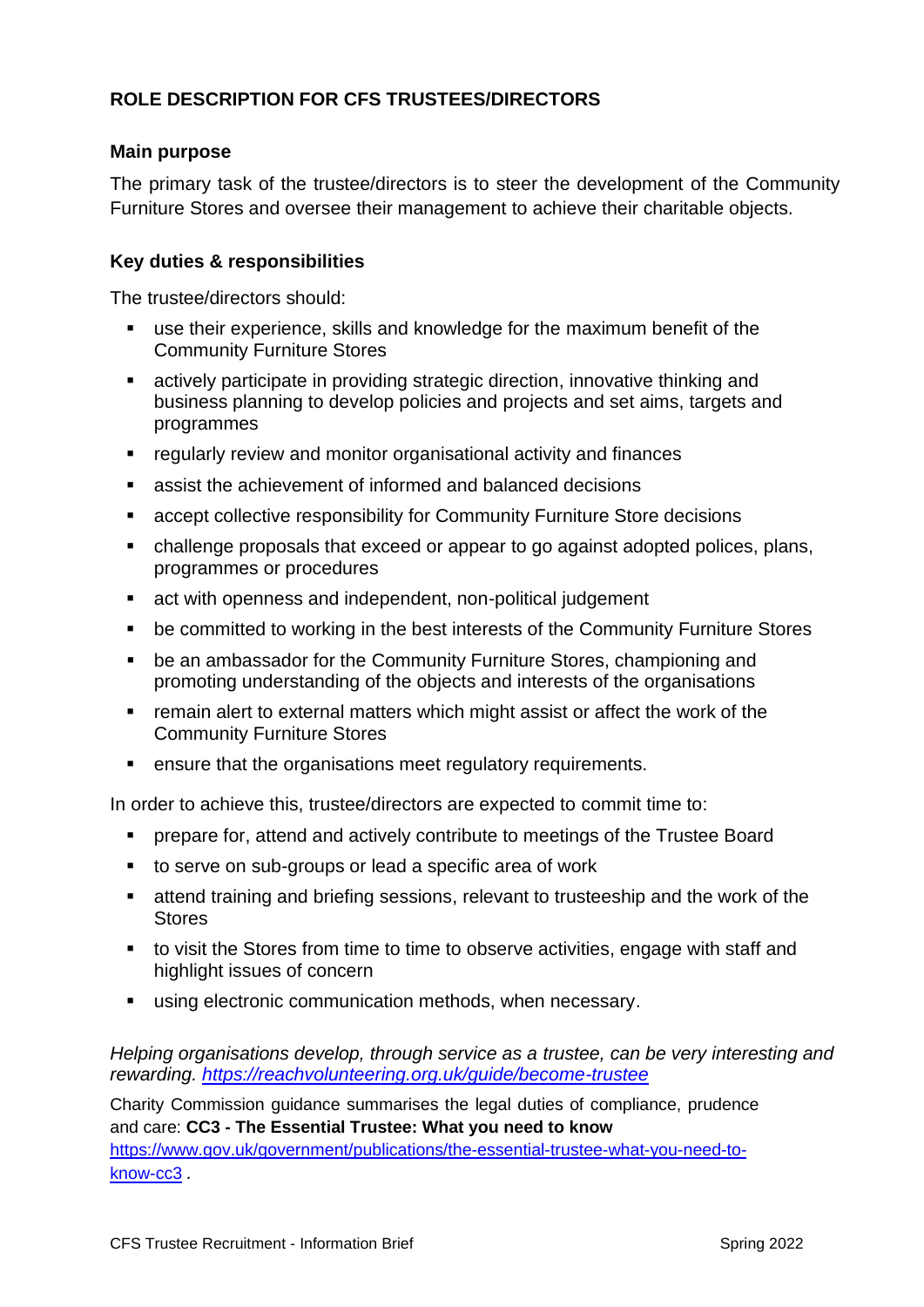# **ROLE DESCRIPTION FOR CFS TRUSTEES/DIRECTORS**

### **Main purpose**

The primary task of the trustee/directors is to steer the development of the Community Furniture Stores and oversee their management to achieve their charitable objects.

## **Key duties & responsibilities**

The trustee/directors should:

- use their experience, skills and knowledge for the maximum benefit of the Community Furniture Stores
- actively participate in providing strategic direction, innovative thinking and business planning to develop policies and projects and set aims, targets and programmes
- regularly review and monitor organisational activity and finances
- assist the achievement of informed and balanced decisions
- accept collective responsibility for Community Furniture Store decisions
- challenge proposals that exceed or appear to go against adopted polices, plans, programmes or procedures
- act with openness and independent, non-political judgement
- be committed to working in the best interests of the Community Furniture Stores
- be an ambassador for the Community Furniture Stores, championing and promoting understanding of the objects and interests of the organisations
- remain alert to external matters which might assist or affect the work of the Community Furniture Stores
- ensure that the organisations meet regulatory requirements.

In order to achieve this, trustee/directors are expected to commit time to:

- **•** prepare for, attend and actively contribute to meetings of the Trustee Board
- to serve on sub-groups or lead a specific area of work
- attend training and briefing sessions, relevant to trusteeship and the work of the **Stores**
- to visit the Stores from time to time to observe activities, engage with staff and highlight issues of concern
- using electronic communication methods, when necessary.

*Helping organisations develop, through service as a trustee, can be very interesting and rewarding. <https://reachvolunteering.org.uk/guide/become-trustee>*

Charity Commission guidance summarises the legal duties of compliance, prudence and care: **CC3 - The Essential Trustee: What you need to know** [https://www.gov.uk/government/publications/the-essential-trustee-what-you-need-to](https://www.gov.uk/government/publications/the-essential-trustee-what-you-need-to-know-cc3)[know-cc3](https://www.gov.uk/government/publications/the-essential-trustee-what-you-need-to-know-cc3) *.*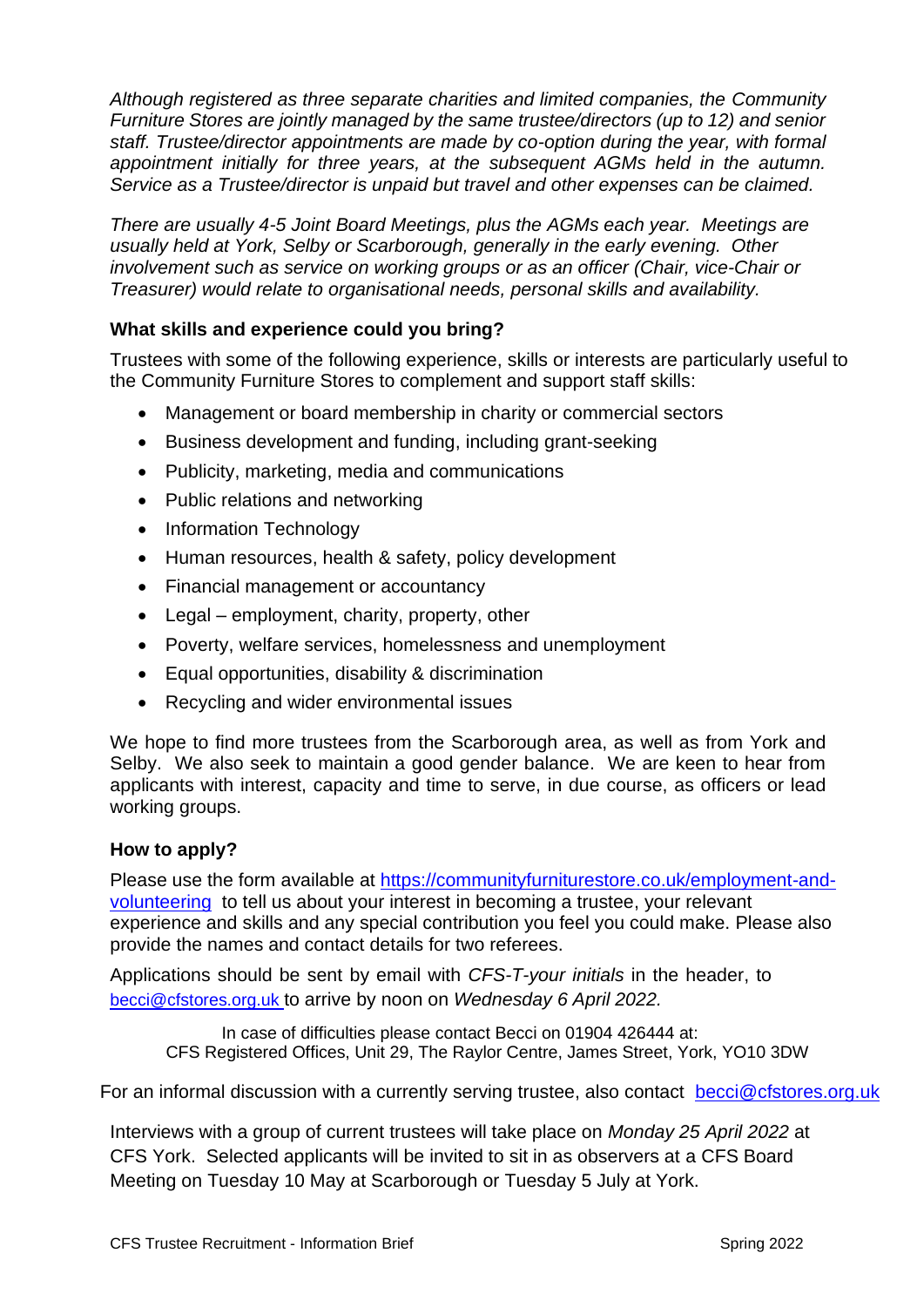*Although registered as three separate charities and limited companies, the Community Furniture Stores are jointly managed by the same trustee/directors (up to 12) and senior staff. Trustee/director appointments are made by co-option during the year, with formal appointment initially for three years, at the subsequent AGMs held in the autumn. Service as a Trustee/director is unpaid but travel and other expenses can be claimed.*

*There are usually 4-5 Joint Board Meetings, plus the AGMs each year. Meetings are usually held at York, Selby or Scarborough, generally in the early evening. Other involvement such as service on working groups or as an officer (Chair, vice-Chair or Treasurer) would relate to organisational needs, personal skills and availability.*

# **What skills and experience could you bring?**

Trustees with some of the following experience, skills or interests are particularly useful to the Community Furniture Stores to complement and support staff skills:

- Management or board membership in charity or commercial sectors
- Business development and funding, including grant-seeking
- Publicity, marketing, media and communications
- Public relations and networking
- Information Technology
- Human resources, health & safety, policy development
- Financial management or accountancy
- Legal employment, charity, property, other
- Poverty, welfare services, homelessness and unemployment
- Equal opportunities, disability & discrimination
- Recycling and wider environmental issues

We hope to find more trustees from the Scarborough area, as well as from York and Selby. We also seek to maintain a good gender balance. We are keen to hear from applicants with interest, capacity and time to serve, in due course, as officers or lead working groups.

### **How to apply?**

Please use the form available at [https://communityfurniturestore.co.uk/employment-and](https://communityfurniturestore.co.uk/employment-and-volunteering)[volunteering](https://communityfurniturestore.co.uk/employment-and-volunteering) to tell us about your interest in becoming a trustee, your relevant experience and skills and any special contribution you feel you could make. Please also provide the names and contact details for two referees.

Applications should be sent by email with *CFS-T-your initials* in the header, to [becci@cfstores.org.uk](mailto:becci@cfstores.org.uk) to arrive by noon on *Wednesday 6 April 2022.*

In case of difficulties please contact Becci on 01904 426444 at: CFS Registered Offices, Unit 29, The Raylor Centre, James Street, York, YO10 3DW

For an informal discussion with a currently serving trustee, also contact [becci@cfstores.org.uk](mailto:becci@cfstores.org.uk)

Interviews with a group of current trustees will take place on *Monday 25 April 2022* at CFS York. Selected applicants will be invited to sit in as observers at a CFS Board Meeting on Tuesday 10 May at Scarborough or Tuesday 5 July at York.